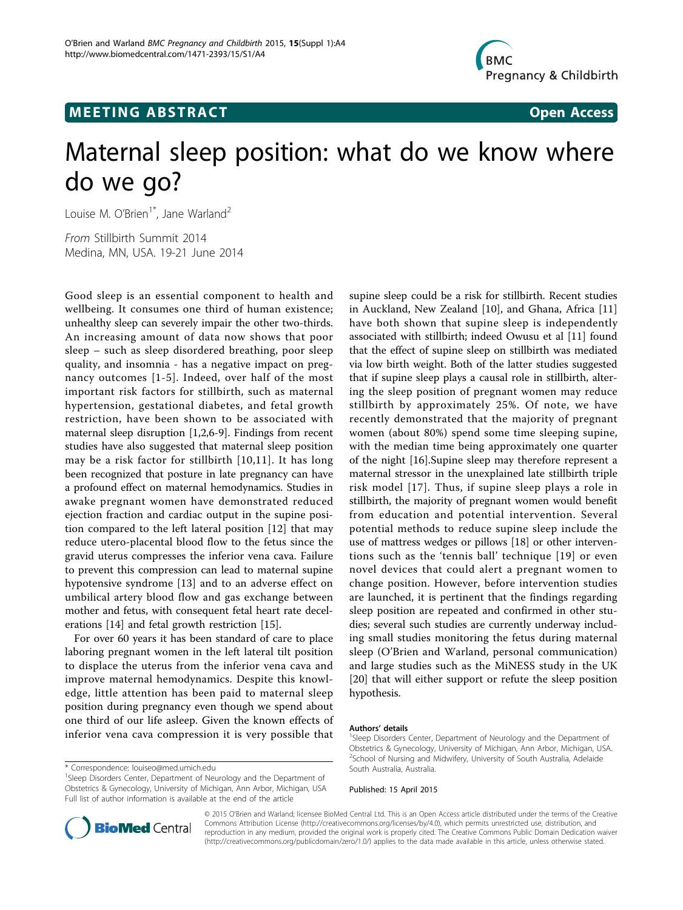

## **MEETING ABSTRACT ACCESS**



# Maternal sleep position: what do we know where do we go?

Louise M. O'Brien<sup>1\*</sup>, Jane Warland<sup>2</sup>

From Stillbirth Summit 2014 Medina, MN, USA. 19-21 June 2014

Good sleep is an essential component to health and wellbeing. It consumes one third of human existence; unhealthy sleep can severely impair the other two-thirds. An increasing amount of data now shows that poor sleep – such as sleep disordered breathing, poor sleep quality, and insomnia - has a negative impact on pregnancy outcomes [[1-5](#page-1-0)]. Indeed, over half of the most important risk factors for stillbirth, such as maternal hypertension, gestational diabetes, and fetal growth restriction, have been shown to be associated with maternal sleep disruption [\[1,2,6](#page-1-0)-[9\]](#page-1-0). Findings from recent studies have also suggested that maternal sleep position may be a risk factor for stillbirth [[10,11\]](#page-1-0). It has long been recognized that posture in late pregnancy can have a profound effect on maternal hemodynamics. Studies in awake pregnant women have demonstrated reduced ejection fraction and cardiac output in the supine position compared to the left lateral position [[12\]](#page-1-0) that may reduce utero-placental blood flow to the fetus since the gravid uterus compresses the inferior vena cava. Failure to prevent this compression can lead to maternal supine hypotensive syndrome [[13\]](#page-1-0) and to an adverse effect on umbilical artery blood flow and gas exchange between mother and fetus, with consequent fetal heart rate decelerations [\[14](#page-1-0)] and fetal growth restriction [\[15](#page-1-0)].

For over 60 years it has been standard of care to place laboring pregnant women in the left lateral tilt position to displace the uterus from the inferior vena cava and improve maternal hemodynamics. Despite this knowledge, little attention has been paid to maternal sleep position during pregnancy even though we spend about one third of our life asleep. Given the known effects of inferior vena cava compression it is very possible that

supine sleep could be a risk for stillbirth. Recent studies in Auckland, New Zealand [\[10](#page-1-0)], and Ghana, Africa [\[11](#page-1-0)] have both shown that supine sleep is independently associated with stillbirth; indeed Owusu et al [\[11](#page-1-0)] found that the effect of supine sleep on stillbirth was mediated via low birth weight. Both of the latter studies suggested that if supine sleep plays a causal role in stillbirth, altering the sleep position of pregnant women may reduce stillbirth by approximately 25%. Of note, we have recently demonstrated that the majority of pregnant women (about 80%) spend some time sleeping supine, with the median time being approximately one quarter of the night [\[16](#page-1-0)].Supine sleep may therefore represent a maternal stressor in the unexplained late stillbirth triple risk model [[17](#page-1-0)]. Thus, if supine sleep plays a role in stillbirth, the majority of pregnant women would benefit from education and potential intervention. Several potential methods to reduce supine sleep include the use of mattress wedges or pillows [[18\]](#page-1-0) or other interventions such as the 'tennis ball' technique [[19\]](#page-1-0) or even novel devices that could alert a pregnant women to change position. However, before intervention studies are launched, it is pertinent that the findings regarding sleep position are repeated and confirmed in other studies; several such studies are currently underway including small studies monitoring the fetus during maternal sleep (O'Brien and Warland, personal communication) and large studies such as the MiNESS study in the UK [[20\]](#page-1-0) that will either support or refute the sleep position hypothesis.

#### Authors' details <sup>1</sup>

Published: 15 April 2015



© 2015 O'Brien and Warland; licensee BioMed Central Ltd. This is an Open Access article distributed under the terms of the Creative Commons Attribution License [\(http://creativecommons.org/licenses/by/4.0](http://creativecommons.org/licenses/by/4.0)), which permits unrestricted use, distribution, and reproduction in any medium, provided the original work is properly cited. The Creative Commons Public Domain Dedication waiver [\(http://creativecommons.org/publicdomain/zero/1.0/](http://creativecommons.org/publicdomain/zero/1.0/)) applies to the data made available in this article, unless otherwise stated.

<sup>\*</sup> Correspondence: [louiseo@med.umich.edu](mailto:louiseo@med.umich.edu)

<sup>&</sup>lt;sup>1</sup>Sleep Disorders Center, Department of Neurology and the Department of Obstetrics & Gynecology, University of Michigan, Ann Arbor, Michigan, USA Full list of author information is available at the end of the article

Sleep Disorders Center, Department of Neurology and the Department of Obstetrics & Gynecology, University of Michigan, Ann Arbor, Michigan, USA. <sup>2</sup>School of Nursing and Midwifery, University of South Australia, Adelaide South Australia, Australia.